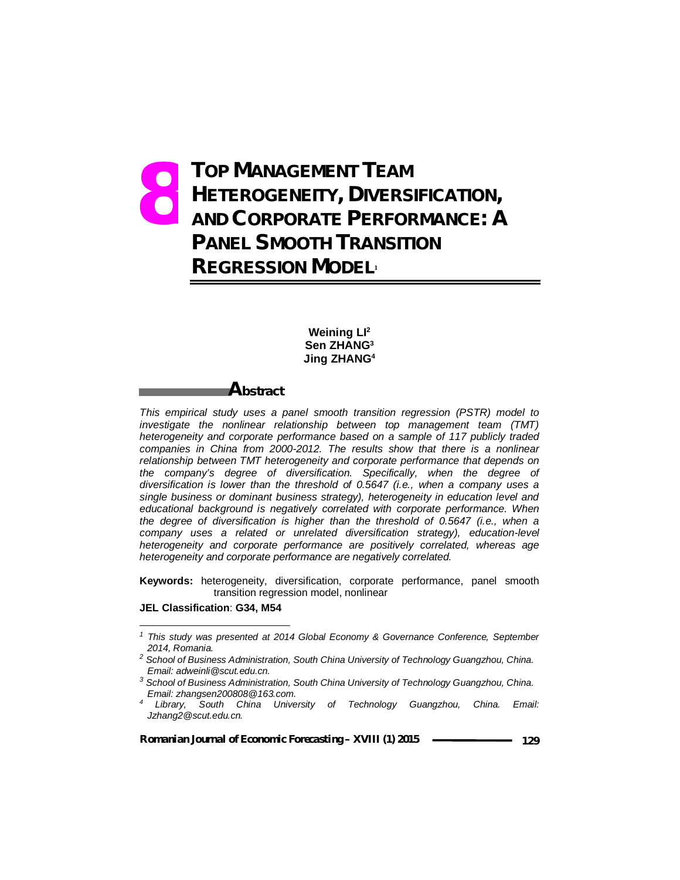# **TOP MANAGEMENT TEAM HETEROGENEITY, DIVERSIFICATION, AND CORPORATE PERFORMANCE: A PANEL SMOOTH TRANSITION REGRESSION MODEL<sup>1</sup> 8.**

### **Weining LI<sup>2</sup> Sen ZHANG<sup>3</sup> Jing ZHANG<sup>4</sup>**

# **Abstract**

*This empirical study uses a panel smooth transition regression (PSTR) model to investigate the nonlinear relationship between top management team (TMT) heterogeneity and corporate performance based on a sample of 117 publicly traded companies in China from 2000-2012. The results show that there is a nonlinear relationship between TMT heterogeneity and corporate performance that depends on the company's degree of diversification. Specifically, when the degree of diversification is lower than the threshold of 0.5647 (i.e., when a company uses a single business or dominant business strategy), heterogeneity in education level and educational background is negatively correlated with corporate performance. When the degree of diversification is higher than the threshold of 0.5647 (i.e., when a company uses a related or unrelated diversification strategy), education-level heterogeneity and corporate performance are positively correlated, whereas age heterogeneity and corporate performance are negatively correlated.*

**Keywords:** heterogeneity, diversification, corporate performance, panel smooth transition regression model, nonlinear

#### **JEL Classification**: **G34, M54**

 $\overline{\phantom{0}}$ 

*<sup>1</sup> This study was presented at 2014 Global Economy & Governance Conference, September 2014, Romania.*

*<sup>2</sup> School of Business Administration, South China University of Technology Guangzhou, China. Email: adweinli@scut.edu.cn.*

*<sup>3</sup> School of Business Administration, South China University of Technology Guangzhou, China. Email: zhangsen200808@163.com.*

*<sup>4</sup> Library, South China University of Technology Guangzhou, China. Email: Jzhang2@scut.edu.cn.*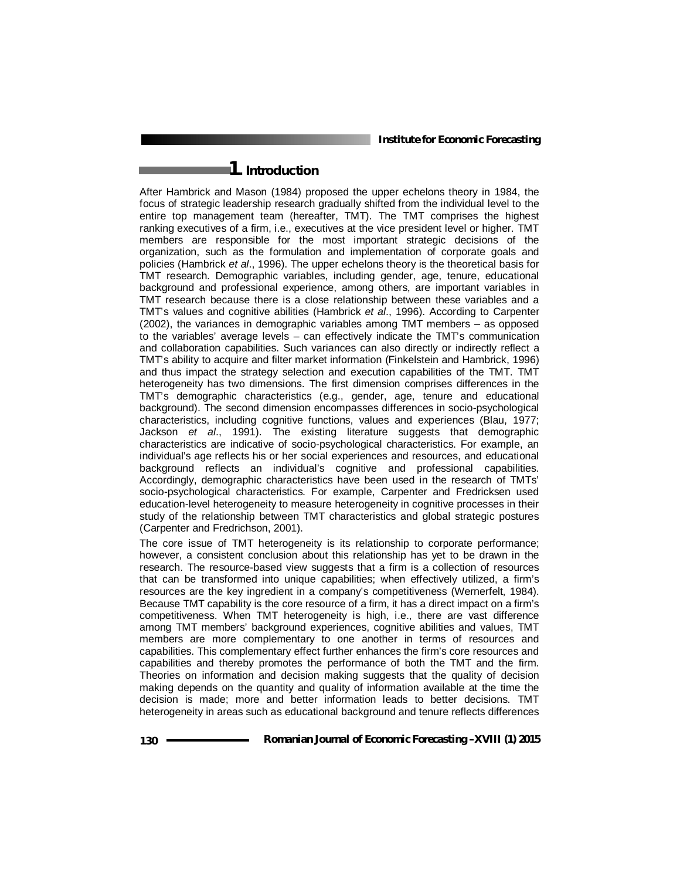# **1. Introduction**

After Hambrick and Mason (1984) proposed the upper echelons theory in 1984, the focus of strategic leadership research gradually shifted from the individual level to the entire top management team (hereafter, TMT). The TMT comprises the highest ranking executives of a firm, i.e., executives at the vice president level or higher. TMT members are responsible for the most important strategic decisions of the organization, such as the formulation and implementation of corporate goals and policies (Hambrick *et al*., 1996). The upper echelons theory is the theoretical basis for TMT research. Demographic variables, including gender, age, tenure, educational background and professional experience, among others, are important variables in TMT research because there is a close relationship between these variables and a TMT's values and cognitive abilities (Hambrick *et al*., 1996). According to Carpenter (2002), the variances in demographic variables among TMT members – as opposed to the variables' average levels – can effectively indicate the TMT's communication and collaboration capabilities. Such variances can also directly or indirectly reflect a TMT's ability to acquire and filter market information (Finkelstein and Hambrick, 1996) and thus impact the strategy selection and execution capabilities of the TMT. TMT heterogeneity has two dimensions. The first dimension comprises differences in the TMT's demographic characteristics (e.g., gender, age, tenure and educational background). The second dimension encompasses differences in socio-psychological characteristics, including cognitive functions, values and experiences (Blau, 1977; Jackson *et al*., 1991). The existing literature suggests that demographic characteristics are indicative of socio-psychological characteristics. For example, an individual's age reflects his or her social experiences and resources, and educational background reflects an individual's cognitive and professional capabilities. Accordingly, demographic characteristics have been used in the research of TMTs' socio-psychological characteristics. For example, Carpenter and Fredricksen used education-level heterogeneity to measure heterogeneity in cognitive processes in their study of the relationship between TMT characteristics and global strategic postures (Carpenter and Fredrichson, 2001).

The core issue of TMT heterogeneity is its relationship to corporate performance; however, a consistent conclusion about this relationship has yet to be drawn in the research. The resource-based view suggests that a firm is a collection of resources that can be transformed into unique capabilities; when effectively utilized, a firm's resources are the key ingredient in a company's competitiveness (Wernerfelt, 1984). Because TMT capability is the core resource of a firm, it has a direct impact on a firm's competitiveness. When TMT heterogeneity is high, i.e., there are vast difference among TMT members' background experiences, cognitive abilities and values, TMT members are more complementary to one another in terms of resources and capabilities. This complementary effect further enhances the firm's core resources and capabilities and thereby promotes the performance of both the TMT and the firm. Theories on information and decision making suggests that the quality of decision making depends on the quantity and quality of information available at the time the decision is made; more and better information leads to better decisions. TMT heterogeneity in areas such as educational background and tenure reflects differences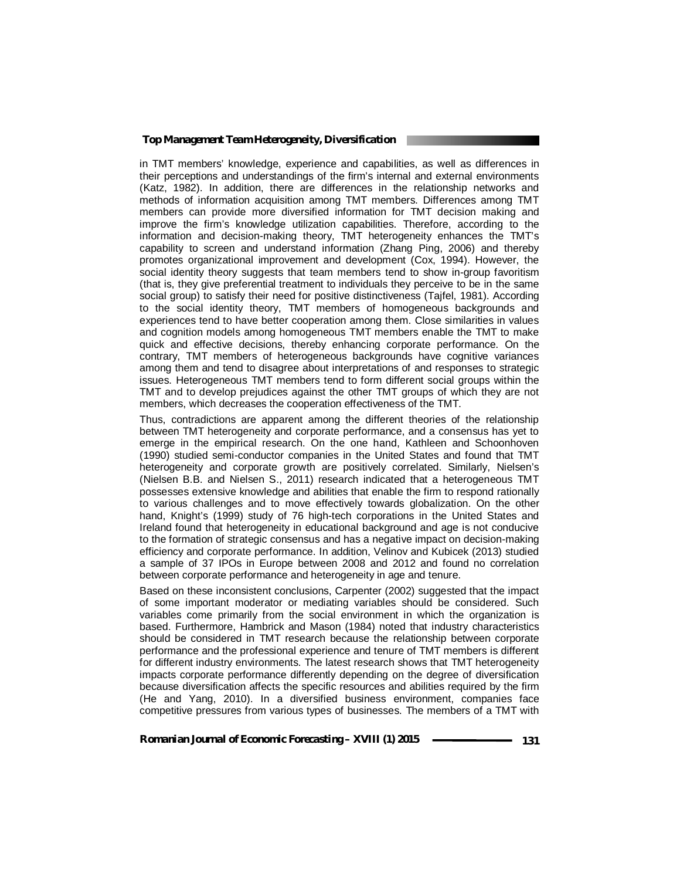in TMT members' knowledge, experience and capabilities, as well as differences in their perceptions and understandings of the firm's internal and external environments (Katz, 1982). In addition, there are differences in the relationship networks and methods of information acquisition among TMT members. Differences among TMT members can provide more diversified information for TMT decision making and improve the firm's knowledge utilization capabilities. Therefore, according to the information and decision-making theory, TMT heterogeneity enhances the TMT's capability to screen and understand information (Zhang Ping, 2006) and thereby promotes organizational improvement and development (Cox, 1994). However, the social identity theory suggests that team members tend to show in-group favoritism (that is, they give preferential treatment to individuals they perceive to be in the same social group) to satisfy their need for positive distinctiveness (Tajfel, 1981). According to the social identity theory, TMT members of homogeneous backgrounds and experiences tend to have better cooperation among them. Close similarities in values and cognition models among homogeneous TMT members enable the TMT to make quick and effective decisions, thereby enhancing corporate performance. On the contrary, TMT members of heterogeneous backgrounds have cognitive variances among them and tend to disagree about interpretations of and responses to strategic issues. Heterogeneous TMT members tend to form different social groups within the TMT and to develop prejudices against the other TMT groups of which they are not members, which decreases the cooperation effectiveness of the TMT.

Thus, contradictions are apparent among the different theories of the relationship between TMT heterogeneity and corporate performance, and a consensus has yet to emerge in the empirical research. On the one hand, Kathleen and Schoonhoven (1990) studied semi-conductor companies in the United States and found that TMT heterogeneity and corporate growth are positively correlated. Similarly, Nielsen's (Nielsen B.B. and Nielsen S., 2011) research indicated that a heterogeneous TMT possesses extensive knowledge and abilities that enable the firm to respond rationally to various challenges and to move effectively towards globalization. On the other hand, Knight's (1999) study of 76 high-tech corporations in the United States and Ireland found that heterogeneity in educational background and age is not conducive to the formation of strategic consensus and has a negative impact on decision-making efficiency and corporate performance. In addition, Velinov and Kubicek (2013) studied a sample of 37 IPOs in Europe between 2008 and 2012 and found no correlation between corporate performance and heterogeneity in age and tenure.

Based on these inconsistent conclusions, Carpenter (2002) suggested that the impact of some important moderator or mediating variables should be considered. Such variables come primarily from the social environment in which the organization is based. Furthermore, Hambrick and Mason (1984) noted that industry characteristics should be considered in TMT research because the relationship between corporate performance and the professional experience and tenure of TMT members is different for different industry environments. The latest research shows that TMT heterogeneity impacts corporate performance differently depending on the degree of diversification because diversification affects the specific resources and abilities required by the firm (He and Yang, 2010). In a diversified business environment, companies face competitive pressures from various types of businesses. The members of a TMT with

**Romanian Journal of Economic Forecasting – XVIII (1) 2015** ––––––––––––––––131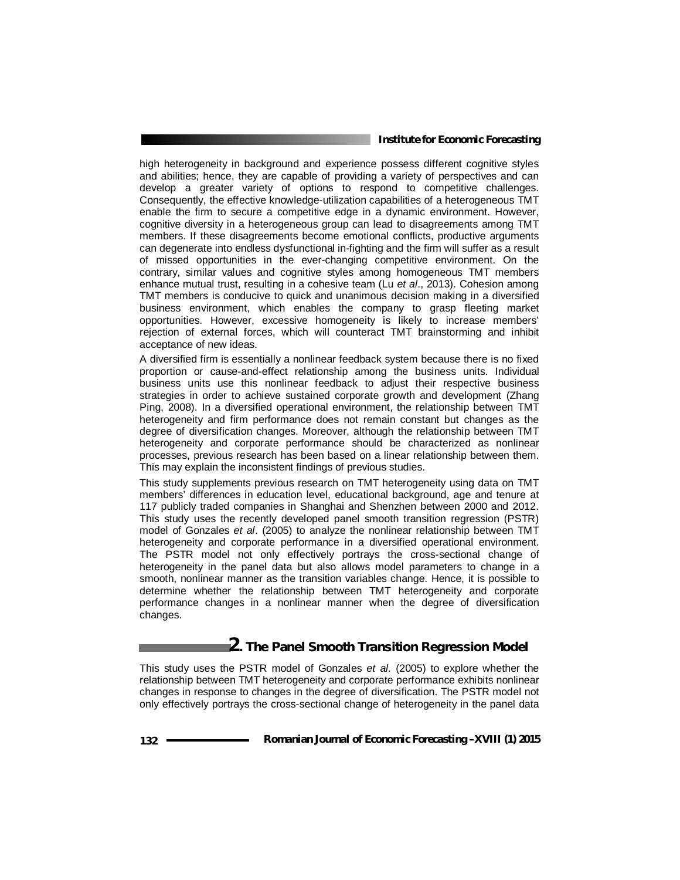high heterogeneity in background and experience possess different cognitive styles and abilities; hence, they are capable of providing a variety of perspectives and can develop a greater variety of options to respond to competitive challenges. Consequently, the effective knowledge-utilization capabilities of a heterogeneous TMT enable the firm to secure a competitive edge in a dynamic environment. However, cognitive diversity in a heterogeneous group can lead to disagreements among TMT members. If these disagreements become emotional conflicts, productive arguments can degenerate into endless dysfunctional in-fighting and the firm will suffer as a result of missed opportunities in the ever-changing competitive environment. On the contrary, similar values and cognitive styles among homogeneous TMT members enhance mutual trust, resulting in a cohesive team (Lu *et al*., 2013). Cohesion among TMT members is conducive to quick and unanimous decision making in a diversified business environment, which enables the company to grasp fleeting market opportunities. However, excessive homogeneity is likely to increase members' rejection of external forces, which will counteract TMT brainstorming and inhibit acceptance of new ideas.

A diversified firm is essentially a nonlinear feedback system because there is no fixed proportion or cause-and-effect relationship among the business units. Individual business units use this nonlinear feedback to adjust their respective business strategies in order to achieve sustained corporate growth and development (Zhang Ping, 2008). In a diversified operational environment, the relationship between TMT heterogeneity and firm performance does not remain constant but changes as the degree of diversification changes. Moreover, although the relationship between TMT heterogeneity and corporate performance should be characterized as nonlinear processes, previous research has been based on a linear relationship between them. This may explain the inconsistent findings of previous studies.

This study supplements previous research on TMT heterogeneity using data on TMT members' differences in education level, educational background, age and tenure at 117 publicly traded companies in Shanghai and Shenzhen between 2000 and 2012. This study uses the recently developed panel smooth transition regression (PSTR) model of Gonzales *et al*. (2005) to analyze the nonlinear relationship between TMT heterogeneity and corporate performance in a diversified operational environment. The PSTR model not only effectively portrays the cross-sectional change of heterogeneity in the panel data but also allows model parameters to change in a smooth, nonlinear manner as the transition variables change. Hence, it is possible to determine whether the relationship between TMT heterogeneity and corporate performance changes in a nonlinear manner when the degree of diversification changes.

## **2. The Panel Smooth Transition Regression Model**

This study uses the PSTR model of Gonzales *et al.* (2005) to explore whether the relationship between TMT heterogeneity and corporate performance exhibits nonlinear changes in response to changes in the degree of diversification. The PSTR model not only effectively portrays the cross-sectional change of heterogeneity in the panel data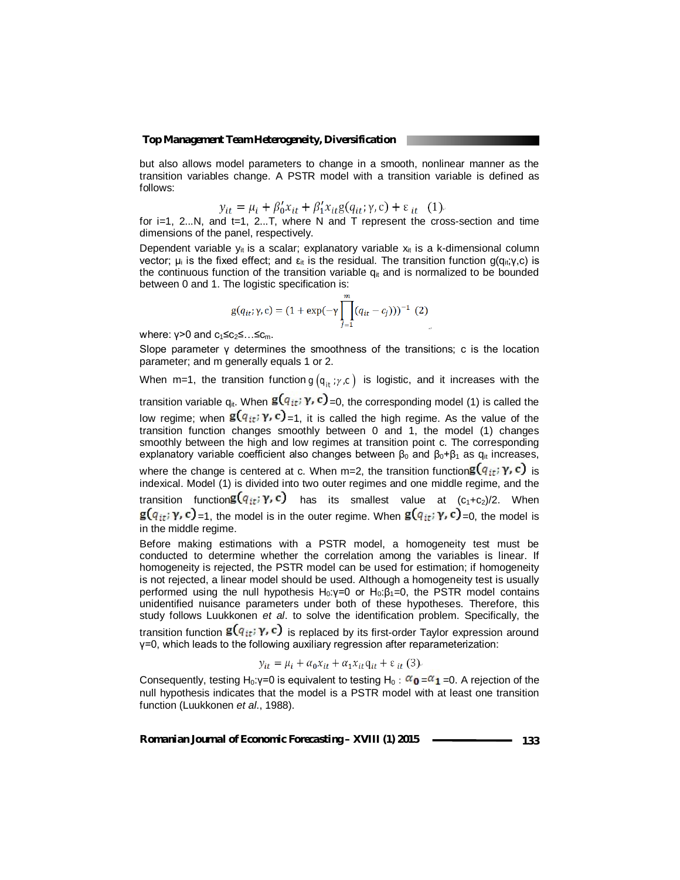but also allows model parameters to change in a smooth, nonlinear manner as the transition variables change. A PSTR model with a transition variable is defined as follows:

$$
y_{it} = \mu_i + \beta'_0 x_{it} + \beta'_1 x_{it} g(q_{it}; \gamma, c) + \varepsilon_{it}
$$
 (1).

for  $i=1$ , 2...N, and  $t=1$ , 2...T, where N and T represent the cross-section and time dimensions of the panel, respectively.

Dependent variable  $y_{it}$  is a scalar; explanatory variable  $x_{it}$  is a k-dimensional column vector; μ<sub>i</sub> is the fixed effect; and  $ε$ <sub>it</sub> is the residual. The transition function g(q<sub>it</sub>;γ,c) is the continuous function of the transition variable  $q_{it}$  and is normalized to be bounded between 0 and 1. The logistic specification is:

$$
g(q_{it}; \gamma, c) = (1 + \exp(-\gamma \prod_{j=1}^{m} (q_{it} - c_j)))^{-1} (2)
$$

where:  $y>0$  and  $c_1 \leq c_2 \leq ... \leq c_m$ .

Slope parameter  $\gamma$  determines the smoothness of the transitions; c is the location parameter; and m generally equals 1 or 2.

When m=1, the transition function  $g(q_{it}; \gamma, c)$  is logistic, and it increases with the

transition variable  $q_{it}$ . When  $g(q_{it}; \gamma, c)$  =0, the corresponding model (1) is called the low regime; when  $g(q_{it}, \gamma, c)$  =1, it is called the high regime. As the value of the transition function changes smoothly between 0 and 1, the model (1) changes smoothly between the high and low regimes at transition point c. The corresponding explanatory variable coefficient also changes between  $\beta_0$  and  $\beta_0$ + $\beta_1$  as  $q_{it}$  increases, where the change is centered at c. When m=2, the transition function  $g(q_{it}; \gamma, c)$  is indexical. Model (1) is divided into two outer regimes and one middle regime, and the transition function  $g(q_{it}; \gamma, c)$  has its smallest value at  $(c_1+c_2)/2$ . When  $g(q_{it}; \gamma, c)$  =1, the model is in the outer regime. When  $g(q_{it}; \gamma, c)$  =0, the model is in the middle regime.

Before making estimations with a PSTR model, a homogeneity test must be conducted to determine whether the correlation among the variables is linear. If homogeneity is rejected, the PSTR model can be used for estimation; if homogeneity is not rejected, a linear model should be used. Although a homogeneity test is usually performed using the null hypothesis H<sub>0</sub>:γ=0 or H<sub>0</sub>:β<sub>1</sub>=0, the PSTR model contains unidentified nuisance parameters under both of these hypotheses. Therefore, this study follows Luukkonen *et al*. to solve the identification problem. Specifically, the

transition function  $g(q_{it}; \gamma, c)$  is replaced by its first-order Taylor expression around γ=0, which leads to the following auxiliary regression after reparameterization:

$$
y_{it} = \mu_i + \alpha_0 x_{it} + \alpha_1 x_{it} q_{it} + \varepsilon_{it} (3)
$$

Consequently, testing H<sub>0</sub>:γ=0 is equivalent to testing H<sub>0</sub>:  $\alpha_{0} = \alpha_{1} = 0$ . A rejection of the null hypothesis indicates that the model is a PSTR model with at least one transition function (Luukkonen *et al*., 1988).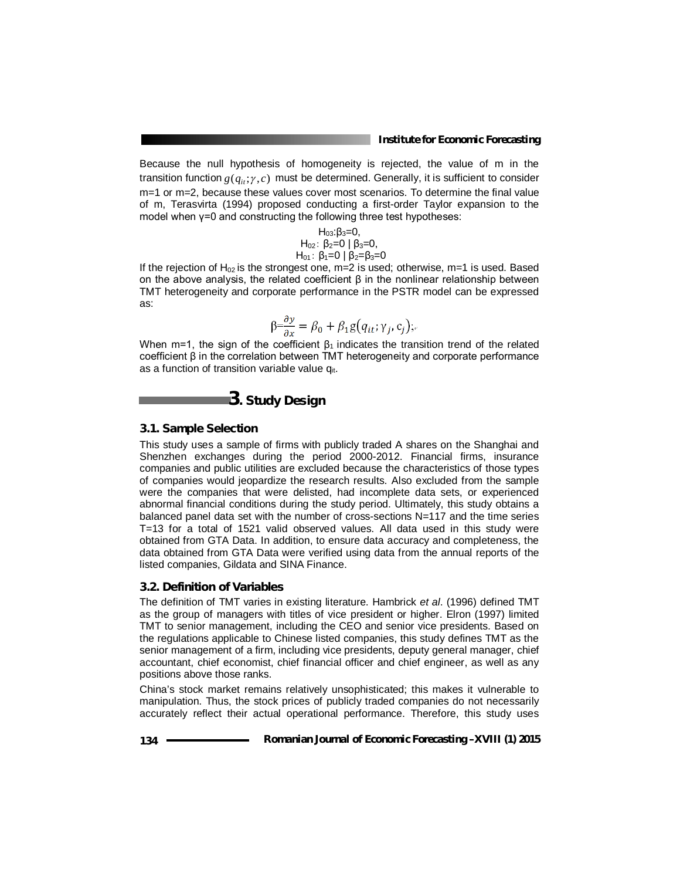Because the null hypothesis of homogeneity is rejected, the value of m in the transition function  $g(q_i, \gamma, c)$  must be determined. Generally, it is sufficient to consider m=1 or m=2, because these values cover most scenarios. To determine the final value of m, Terasvirta (1994) proposed conducting a first-order Taylor expansion to the model when γ=0 and constructing the following three test hypotheses:

> $H_{03}:β_3=0,$  $H_{02}$ : β<sub>2</sub>=0 | β<sub>3</sub>=0,  $H_{01}$ : β<sub>1</sub>=0 | β<sub>2</sub>=β<sub>3</sub>=0

If the rejection of  $H_{02}$  is the strongest one, m=2 is used; otherwise, m=1 is used. Based on the above analysis, the related coefficient  $\beta$  in the nonlinear relationship between TMT heterogeneity and corporate performance in the PSTR model can be expressed as:

$$
\beta = \frac{\partial y}{\partial x} = \beta_0 + \beta_1 g(q_{it}; \gamma_j, c_j);
$$

When m=1, the sign of the coefficient  $\beta_1$  indicates the transition trend of the related coefficient β in the correlation between TMT heterogeneity and corporate performance as a function of transition variable value q<sub>it</sub>.

**3. Study Design**

#### *3.1. Sample Selection*

This study uses a sample of firms with publicly traded A shares on the Shanghai and Shenzhen exchanges during the period 2000-2012. Financial firms, insurance companies and public utilities are excluded because the characteristics of those types of companies would jeopardize the research results. Also excluded from the sample were the companies that were delisted, had incomplete data sets, or experienced abnormal financial conditions during the study period. Ultimately, this study obtains a balanced panel data set with the number of cross-sections N=117 and the time series T=13 for a total of 1521 valid observed values. All data used in this study were obtained from GTA Data. In addition, to ensure data accuracy and completeness, the data obtained from GTA Data were verified using data from the annual reports of the listed companies, Gildata and SINA Finance.

#### *3.2. Definition of Variables*

The definition of TMT varies in existing literature. Hambrick *et al*. (1996) defined TMT as the group of managers with titles of vice president or higher. Elron (1997) limited TMT to senior management, including the CEO and senior vice presidents. Based on the regulations applicable to Chinese listed companies, this study defines TMT as the senior management of a firm, including vice presidents, deputy general manager, chief accountant, chief economist, chief financial officer and chief engineer, as well as any positions above those ranks.

China's stock market remains relatively unsophisticated; this makes it vulnerable to manipulation. Thus, the stock prices of publicly traded companies do not necessarily accurately reflect their actual operational performance. Therefore, this study uses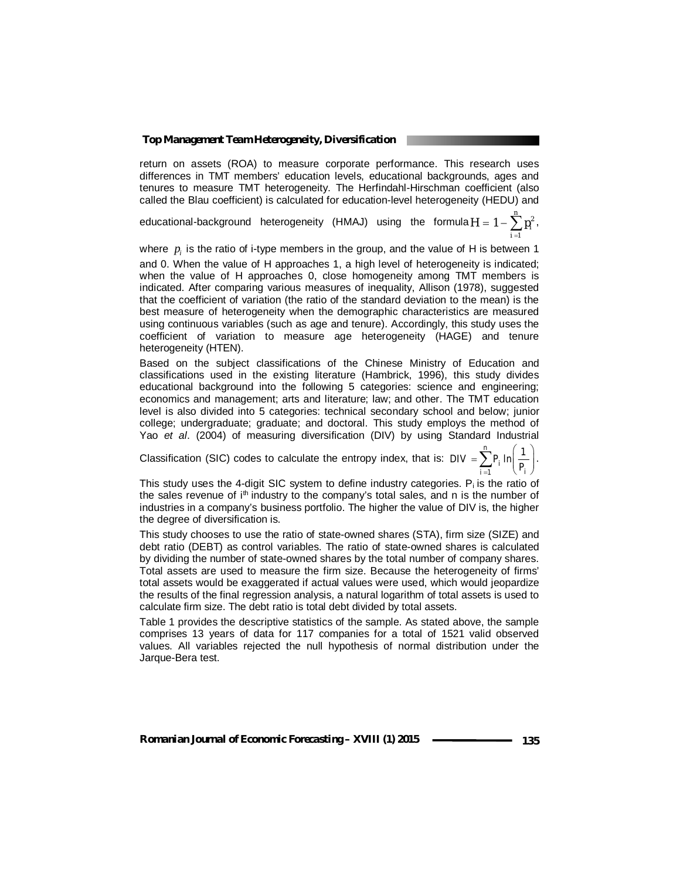return on assets (ROA) to measure corporate performance. This research uses differences in TMT members' education levels, educational backgrounds, ages and tenures to measure TMT heterogeneity. The Herfindahl-Hirschman coefficient (also called the Blau coefficient) is calculated for education-level heterogeneity (HEDU) and

educational-background heterogeneity (HMAJ) using the formula  $H = 1 - \sum_{i=1}^{n}$ *i*  $H = 1 - \sum p_i^2$ , 1

where  $p_i$  is the ratio of i-type members in the group, and the value of H is between 1 and 0. When the value of H approaches 1, a high level of heterogeneity is indicated; when the value of H approaches 0, close homogeneity among TMT members is indicated. After comparing various measures of inequality, Allison (1978), suggested that the coefficient of variation (the ratio of the standard deviation to the mean) is the best measure of heterogeneity when the demographic characteristics are measured using continuous variables (such as age and tenure). Accordingly, this study uses the coefficient of variation to measure age heterogeneity (HAGE) and tenure heterogeneity (HTEN).

Based on the subject classifications of the Chinese Ministry of Education and classifications used in the existing literature (Hambrick, 1996), this study divides educational background into the following 5 categories: science and engineering; economics and management; arts and literature; law; and other. The TMT education level is also divided into 5 categories: technical secondary school and below; junior college; undergraduate; graduate; and doctoral. This study employs the method of Yao *et al*. (2004) of measuring diversification (DIV) by using Standard Industrial

Classification (SIC) codes to calculate the entropy index, that is:  $=$  $=\sum_{i=1}^n P_i \ln \left(\frac{1}{P_i}\right).$  $\ln \frac{1}{2}$ *n*  $\sum_{i=1}^{\prime}$ <sup>'</sup> i<sup>'</sup>'  $P_i$  $DIV = \sum_{i=1} P_i \ln \left( \frac{P_i}{P_i} \right)$ .

This study uses the 4-digit SIC system to define industry categories.  $P_i$  is the ratio of the sales revenue of  $i<sup>th</sup>$  industry to the company's total sales, and n is the number of industries in a company's business portfolio. The higher the value of DIV is, the higher the degree of diversification is.

This study chooses to use the ratio of state-owned shares (STA), firm size (SIZE) and debt ratio (DEBT) as control variables. The ratio of state-owned shares is calculated by dividing the number of state-owned shares by the total number of company shares. Total assets are used to measure the firm size. Because the heterogeneity of firms' total assets would be exaggerated if actual values were used, which would jeopardize the results of the final regression analysis, a natural logarithm of total assets is used to calculate firm size. The debt ratio is total debt divided by total assets.

Table 1 provides the descriptive statistics of the sample. As stated above, the sample comprises 13 years of data for 117 companies for a total of 1521 valid observed values. All variables rejected the null hypothesis of normal distribution under the Jarque-Bera test.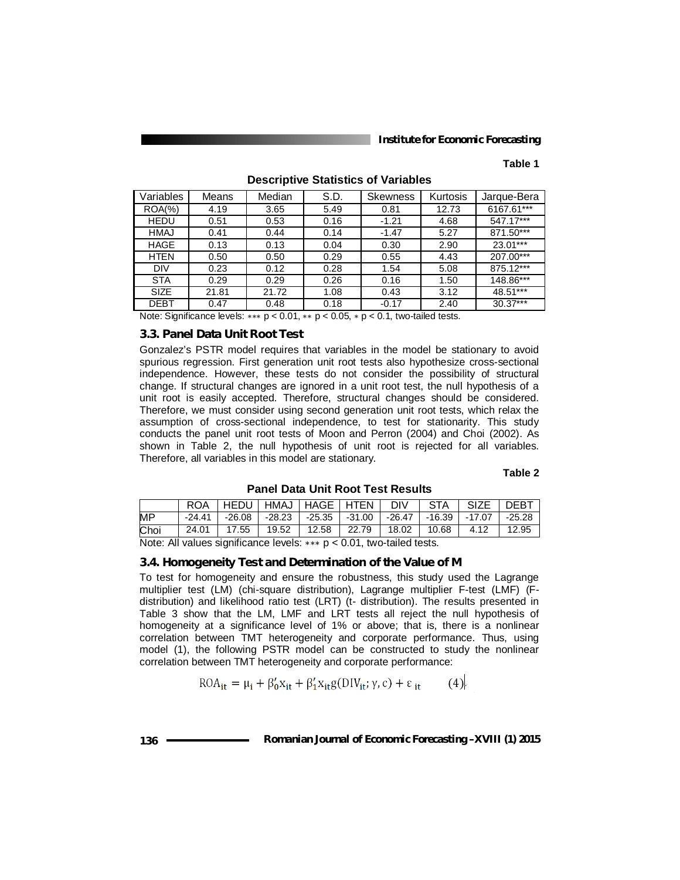#### **Table 1**

| Variables   | Means | Median | S.D. | Skewness | Kurtosis | Jarque-Bera |
|-------------|-------|--------|------|----------|----------|-------------|
| $ROA(\%)$   | 4.19  | 3.65   | 5.49 | 0.81     | 12.73    | 6167.61***  |
| <b>HEDU</b> | 0.51  | 0.53   | 0.16 | $-1.21$  | 4.68     | 547.17***   |
| <b>HMAJ</b> | 0.41  | 0.44   | 0.14 | $-1.47$  | 5.27     | 871.50***   |
| HAGE        | 0.13  | 0.13   | 0.04 | 0.30     | 2.90     | 23.01***    |
| <b>HTEN</b> | 0.50  | 0.50   | 0.29 | 0.55     | 4.43     | 207.00***   |
| <b>DIV</b>  | 0.23  | 0.12   | 0.28 | 1.54     | 5.08     | 875.12***   |
| <b>STA</b>  | 0.29  | 0.29   | 0.26 | 0.16     | 1.50     | 148.86***   |
| <b>SIZE</b> | 21.81 | 21.72  | 1.08 | 0.43     | 3.12     | 48.51***    |
| <b>DEBT</b> | 0.47  | 0.48   | 0.18 | $-0.17$  | 2.40     | $30.37***$  |

**Descriptive Statistics of Variables**

Note: Significance levels: ∗∗∗ p < 0.01, ∗∗ p < 0.05, ∗ p < 0.1, two-tailed tests.

#### *3.3. Panel Data Unit Root Test*

Gonzalez's PSTR model requires that variables in the model be stationary to avoid spurious regression. First generation unit root tests also hypothesize cross-sectional independence. However, these tests do not consider the possibility of structural change. If structural changes are ignored in a unit root test, the null hypothesis of a unit root is easily accepted. Therefore, structural changes should be considered. Therefore, we must consider using second generation unit root tests, which relax the assumption of cross-sectional independence, to test for stationarity. This study conducts the panel unit root tests of Moon and Perron (2004) and Choi (2002). As shown in Table 2, the null hypothesis of unit root is rejected for all variables. Therefore, all variables in this model are stationary.

#### **Table 2**

**Panel Data Unit Root Test Results**

|      |          | ∣HEDU∣HMAJ∣HAGE∣HTEN I |       |                                                              | <b>DIV</b> | STA   | SIZE | I DEBT |
|------|----------|------------------------|-------|--------------------------------------------------------------|------------|-------|------|--------|
| MP   | $-24.41$ | -26.08                 |       | -28.23   -25.35   -31.00   -26.47   -16.39   -17.07   -25.28 |            |       |      |        |
| Choi | 24.01    | 17.55                  | 19.52 | 12.58   22.79   18.02                                        |            | 10.68 | 4.12 | 12.95  |

Note: All values significance levels: ∗∗∗ p < 0.01, two-tailed tests.

#### *3.4. Homogeneity Test and Determination of the Value of M*

To test for homogeneity and ensure the robustness, this study used the Lagrange multiplier test (LM) (chi-square distribution), Lagrange multiplier F-test (LMF) (Fdistribution) and likelihood ratio test (LRT) (t- distribution). The results presented in Table 3 show that the LM, LMF and LRT tests all reject the null hypothesis of homogeneity at a significance level of 1% or above; that is, there is a nonlinear correlation between TMT heterogeneity and corporate performance. Thus, using model (1), the following PSTR model can be constructed to study the nonlinear correlation between TMT heterogeneity and corporate performance:

$$
ROA_{it} = \mu_i + \beta_0' x_{it} + \beta_1' x_{it} g(DIV_{it}; \gamma, c) + \varepsilon_{it}
$$
 (4)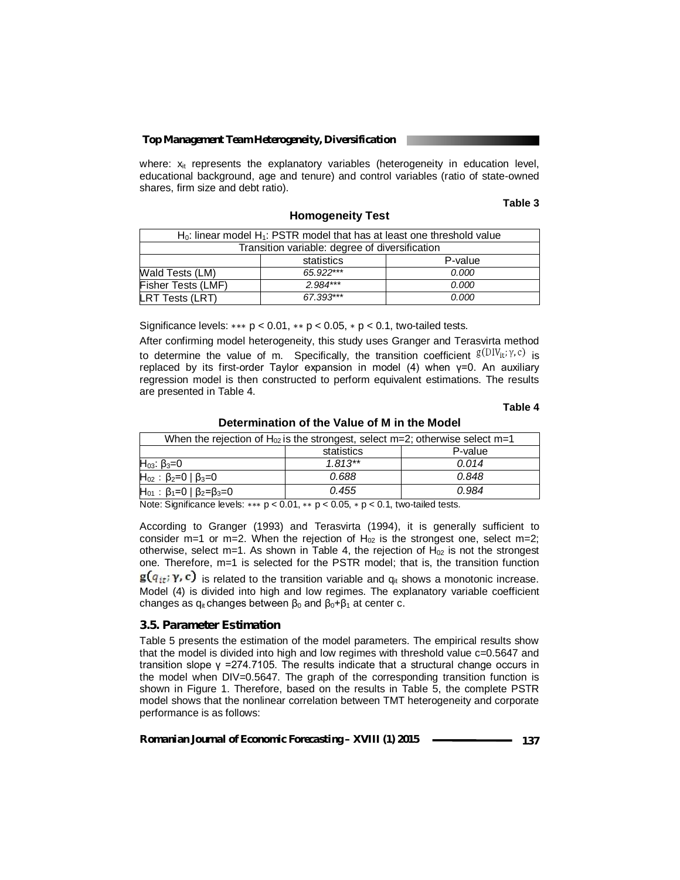where:  $x_{it}$  represents the explanatory variables (heterogeneity in education level, educational background, age and tenure) and control variables (ratio of state-owned shares, firm size and debt ratio).

**Homogeneity Test** 

#### **Table 3**

| $H_0$ : linear model $H_1$ : PSTR model that has at least one threshold value |             |         |  |  |
|-------------------------------------------------------------------------------|-------------|---------|--|--|
| Transition variable: degree of diversification                                |             |         |  |  |
|                                                                               | statistics  | P-value |  |  |
| Wald Tests (LM)                                                               | $65.922***$ | 0.000   |  |  |
| <b>Fisher Tests (LMF)</b>                                                     | $2.984***$  | 0.000   |  |  |
| <b>LRT Tests (LRT)</b>                                                        | 67.393***   | 0.000   |  |  |

Significance levels:  $*** p < 0.01$ ,  $** p < 0.05$ ,  $* p < 0.1$ , two-tailed tests.

After confirming model heterogeneity, this study uses Granger and Terasvirta method to determine the value of m. Specifically, the transition coefficient  $g(DIV_{it}, \gamma, c)$  is replaced by its first-order Taylor expansion in model (4) when γ=0. An auxiliary regression model is then constructed to perform equivalent estimations. The results are presented in Table 4.

#### **Table 4**

#### **Determination of the Value of M in the Model**

| When the rejection of $H_{02}$ is the strongest, select m=2; otherwise select m=1 |            |         |  |  |
|-----------------------------------------------------------------------------------|------------|---------|--|--|
|                                                                                   | statistics | P-value |  |  |
| $H_{03}$ : β <sub>3</sub> =0                                                      | $1.813**$  | 0.014   |  |  |
| $H_{02}$ : $\beta_2=0$   $\beta_3=0$                                              | 0.688      | 0.848   |  |  |
| $H_{01}$ : β <sub>1</sub> =0   β <sub>2</sub> =β <sub>3</sub> =0                  | 0.455      | 0.984   |  |  |

Note: Significance levels: ∗∗∗ p < 0.01, ∗∗ p < 0.05, ∗ p < 0.1, two-tailed tests.

According to Granger (1993) and Terasvirta (1994), it is generally sufficient to consider m=1 or m=2. When the rejection of  $H_{02}$  is the strongest one, select m=2; otherwise, select m=1. As shown in Table 4, the rejection of  $H_{02}$  is not the strongest one. Therefore, m=1 is selected for the PSTR model; that is, the transition function

 $\mathbf{g}(q_{it}; \gamma, c)$  is related to the transition variable and  $q_{it}$  shows a monotonic increase. Model (4) is divided into high and low regimes. The explanatory variable coefficient changes as  $q_{it}$  changes between  $β_0$  and  $β_0 + β_1$  at center c.

#### *3.5. Parameter Estimation*

Table 5 presents the estimation of the model parameters. The empirical results show that the model is divided into high and low regimes with threshold value c=0.5647 and transition slope  $γ = 274.7105$ . The results indicate that a structural change occurs in the model when DIV=0.5647. The graph of the corresponding transition function is shown in Figure 1. Therefore, based on the results in Table 5, the complete PSTR model shows that the nonlinear correlation between TMT heterogeneity and corporate performance is as follows: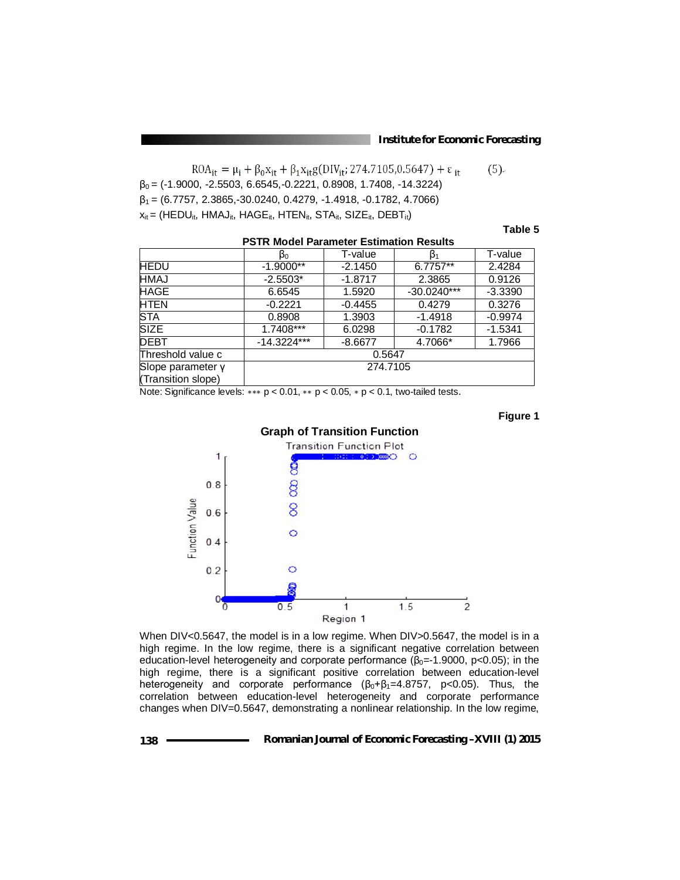$ROA_{it} = \mu_i + \beta_0 x_{it} + \beta_1 x_{it} g(DIV_{it}; 274.7105, 0.5647) + \varepsilon_{it}$  $(5)$  $\beta_0 = (-1.9000, -2.5503, 6.6545, -0.2221, 0.8908, 1.7408, -14.3224)$  $\beta_1$  = (6.7757, 2.3865, 30.0240, 0.4279, -1.4918, -0.1782, 4.7066)  $x_{it}$  = (HEDU<sub>it</sub>, HMAJ<sub>it</sub>, HAGE<sub>it</sub>, HTEN<sub>it</sub>, STA<sub>it</sub>, SIZE<sub>it</sub>, DEBT<sub>it</sub>)

#### **Table 5**

|                                         | βo            | T-value   | $\beta_1$     | T-value   |  |
|-----------------------------------------|---------------|-----------|---------------|-----------|--|
| <b>HEDU</b>                             | $-1.9000**$   | $-2.1450$ | 6.7757**      | 2.4284    |  |
| <b>HMAJ</b>                             | $-2.5503*$    | $-1.8717$ | 2.3865        | 0.9126    |  |
| HAGE                                    | 6.6545        | 1.5920    | $-30.0240***$ | $-3.3390$ |  |
| <b>HTEN</b>                             | $-0.2221$     | $-0.4455$ | 0.4279        | 0.3276    |  |
| <b>STA</b>                              | 0.8908        | 1.3903    | $-1.4918$     | $-0.9974$ |  |
| <b>SIZE</b>                             | $1.7408***$   | 6.0298    | $-0.1782$     | $-1.5341$ |  |
| DEBT                                    | $-14.3224***$ | $-8.6677$ | 4.7066*       | 1.7966    |  |
| Threshold value c                       | 0.5647        |           |               |           |  |
| Slope parameter y<br>(Transition slope) | 274.7105      |           |               |           |  |

**PSTR Model Parameter Estimation Results**

Note: Significance levels: ∗∗∗ p < 0.01, ∗∗ p < 0.05, ∗ p < 0.1, two-tailed tests.





When DIV<0.5647, the model is in a low regime. When DIV>0.5647, the model is in a high regime. In the low regime, there is a significant negative correlation between education-level heterogeneity and corporate performance ( $\beta_0$ =-1.9000, p<0.05); in the high regime, there is a significant positive correlation between education-level heterogeneity and corporate performance  $(\beta_0 + \beta_1 = 4.8757, p < 0.05)$ . Thus, the correlation between education-level heterogeneity and corporate performance changes when DIV=0.5647, demonstrating a nonlinear relationship. In the low regime,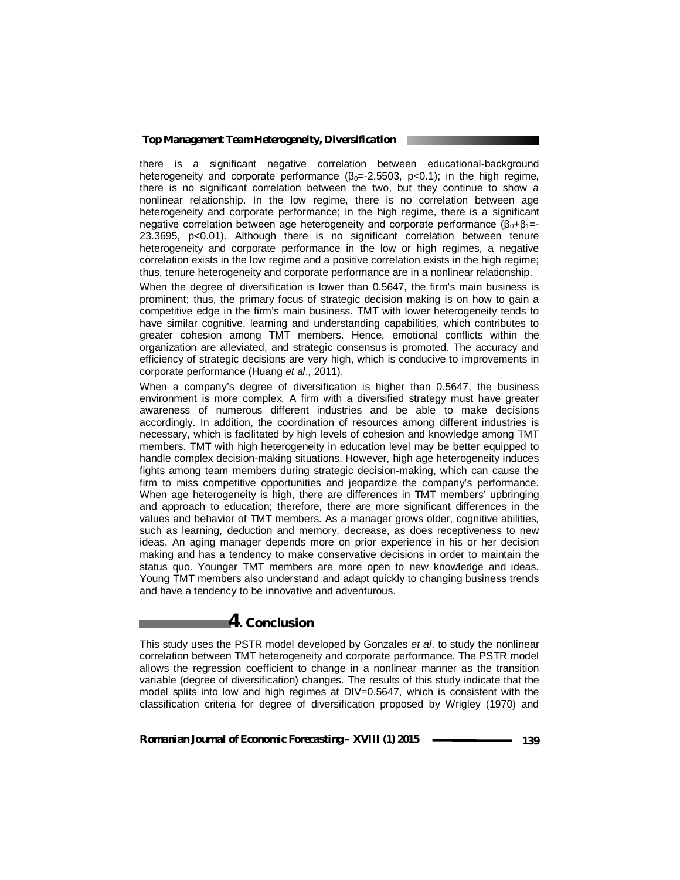there is a significant negative correlation between educational-background heterogeneity and corporate performance  $(\beta_0 = -2.5503, p < 0.1)$ ; in the high regime, there is no significant correlation between the two, but they continue to show a nonlinear relationship. In the low regime, there is no correlation between age heterogeneity and corporate performance; in the high regime, there is a significant negative correlation between age heterogeneity and corporate performance  $(β<sub>0</sub>+β<sub>1</sub>=$ 23.3695, p<0.01). Although there is no significant correlation between tenure heterogeneity and corporate performance in the low or high regimes, a negative correlation exists in the low regime and a positive correlation exists in the high regime; thus, tenure heterogeneity and corporate performance are in a nonlinear relationship.

When the degree of diversification is lower than 0.5647, the firm's main business is prominent; thus, the primary focus of strategic decision making is on how to gain a competitive edge in the firm's main business. TMT with lower heterogeneity tends to have similar cognitive, learning and understanding capabilities, which contributes to greater cohesion among TMT members. Hence, emotional conflicts within the organization are alleviated, and strategic consensus is promoted. The accuracy and efficiency of strategic decisions are very high, which is conducive to improvements in corporate performance (Huang *et al*., 2011).

When a company's degree of diversification is higher than 0.5647, the business environment is more complex. A firm with a diversified strategy must have greater awareness of numerous different industries and be able to make decisions accordingly. In addition, the coordination of resources among different industries is necessary, which is facilitated by high levels of cohesion and knowledge among TMT members. TMT with high heterogeneity in education level may be better equipped to handle complex decision-making situations. However, high age heterogeneity induces fights among team members during strategic decision-making, which can cause the firm to miss competitive opportunities and jeopardize the company's performance. When age heterogeneity is high, there are differences in TMT members' upbringing and approach to education; therefore, there are more significant differences in the values and behavior of TMT members. As a manager grows older, cognitive abilities, such as learning, deduction and memory, decrease, as does receptiveness to new ideas. An aging manager depends more on prior experience in his or her decision making and has a tendency to make conservative decisions in order to maintain the status quo. Younger TMT members are more open to new knowledge and ideas. Young TMT members also understand and adapt quickly to changing business trends and have a tendency to be innovative and adventurous.

## **4. Conclusion**

This study uses the PSTR model developed by Gonzales *et al*. to study the nonlinear correlation between TMT heterogeneity and corporate performance. The PSTR model allows the regression coefficient to change in a nonlinear manner as the transition variable (degree of diversification) changes. The results of this study indicate that the model splits into low and high regimes at DIV=0.5647, which is consistent with the classification criteria for degree of diversification proposed by Wrigley (1970) and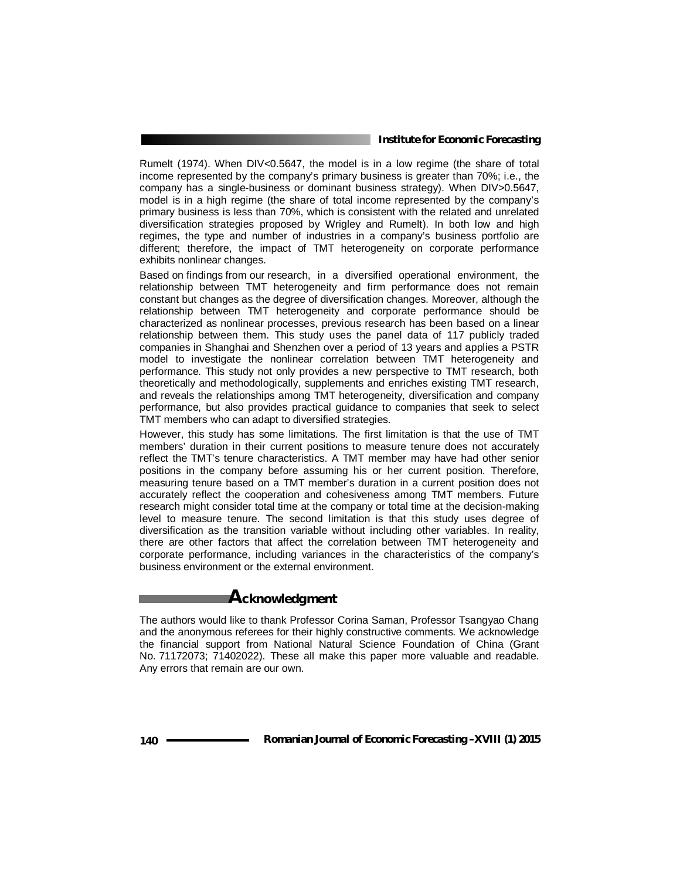Rumelt (1974). When DIV<0.5647, the model is in a low regime (the share of total income represented by the company's primary business is greater than 70%; i.e., the company has a single-business or dominant business strategy). When DIV>0.5647, model is in a high regime (the share of total income represented by the company's primary business is less than 70%, which is consistent with the related and unrelated diversification strategies proposed by Wrigley and Rumelt). In both low and high regimes, the type and number of industries in a company's business portfolio are different; therefore, the impact of TMT heterogeneity on corporate performance exhibits nonlinear changes.

Based on findings from our research, in a diversified operational environment, the relationship between TMT heterogeneity and firm performance does not remain constant but changes as the degree of diversification changes. Moreover, although the relationship between TMT heterogeneity and corporate performance should be characterized as nonlinear processes, previous research has been based on a linear relationship between them. This study uses the panel data of 117 publicly traded companies in Shanghai and Shenzhen over a period of 13 years and applies a PSTR model to investigate the nonlinear correlation between TMT heterogeneity and performance. This study not only provides a new perspective to TMT research, both theoretically and methodologically, supplements and enriches existing TMT research, and reveals the relationships among TMT heterogeneity, diversification and company performance, but also provides practical guidance to companies that seek to select TMT members who can adapt to diversified strategies.

However, this study has some limitations. The first limitation is that the use of TMT members' duration in their current positions to measure tenure does not accurately reflect the TMT's tenure characteristics. A TMT member may have had other senior positions in the company before assuming his or her current position. Therefore, measuring tenure based on a TMT member's duration in a current position does not accurately reflect the cooperation and cohesiveness among TMT members. Future research might consider total time at the company or total time at the decision-making level to measure tenure. The second limitation is that this study uses degree of diversification as the transition variable without including other variables. In reality, there are other factors that affect the correlation between TMT heterogeneity and corporate performance, including variances in the characteristics of the company's business environment or the external environment.

# **Acknowledgment**

The authors would like to thank Professor Corina Saman, Professor Tsangyao Chang and the anonymous referees for their highly constructive comments. We acknowledge the financial support from National Natural Science Foundation of China (Grant No. 71172073; 71402022). These all make this paper more valuable and readable. Any errors that remain are our own.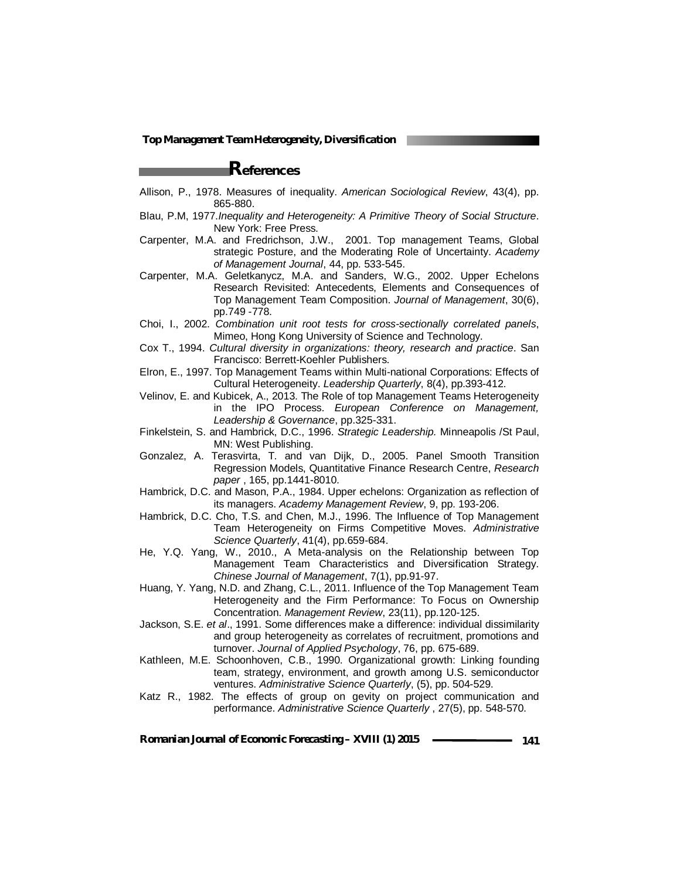# **References**

- Allison, P., 1978. Measures of inequality. *American Sociological Review*, 43(4), pp. 865-880.
- Blau, P.M, 1977.*Inequality and Heterogeneity: A Primitive Theory of Social Structure*. New York: Free Press.
- Carpenter, M.A. and Fredrichson, J.W., 2001. Top management Teams, Global strategic Posture, and the Moderating Role of Uncertainty. *Academy of Management Journal*, 44, pp. 533-545.
- Carpenter, M.A. Geletkanycz, M.A. and Sanders, W.G., 2002. Upper Echelons Research Revisited: Antecedents, Elements and Consequences of Top Management Team Composition. *Journal of Management*, 30(6), pp.749 -778.
- Choi, I., 2002. *Combination unit root tests for cross-sectionally correlated panels*, Mimeo, Hong Kong University of Science and Technology.
- Cox T., 1994. *Cultural diversity in organizations: theory, research and practice*. San Francisco: Berrett-Koehler Publishers.
- Elron, E., 1997. Top Management Teams within Multi-national Corporations: Effects of Cultural Heterogeneity. *Leadership Quarterly*, 8(4), pp.393-412.
- Velinov, E. and Kubicek, A., 2013. The Role of top Management Teams Heterogeneity in the IPO Process. *European Conference on Management, Leadership & Governance*, pp.325-331.
- Finkelstein, S. and Hambrick, D.C., 1996. *Strategic Leadership.* Minneapolis /St Paul, MN: West Publishing.
- Gonzalez, A. Terasvirta, T. and van Dijk, D., 2005. Panel Smooth Transition Regression Models, Quantitative Finance Research Centre, *Research paper* , 165, pp.1441-8010.
- Hambrick, D.C. and Mason, P.A., 1984. Upper echelons: Organization as reflection of its managers. *Academy Management Review*, 9, pp. 193-206.
- Hambrick, D.C. Cho, T.S. and Chen, M.J., 1996. The Influence of Top Management Team Heterogeneity on Firms Competitive Moves. *Administrative Science Quarterly*, 41(4), pp.659-684.
- He, Y.Q. Yang, W., 2010., A Meta-analysis on the Relationship between Top Management Team Characteristics and Diversification Strategy. *Chinese Journal of Management*, 7(1), pp.91-97.
- Huang, Y. Yang, N.D. and Zhang, C.L., 2011. Influence of the Top Management Team Heterogeneity and the Firm Performance: To Focus on Ownership Concentration. *Management Review*, 23(11), pp.120-125.
- Jackson, S.E. *et al*., 1991. Some differences make a difference: individual dissimilarity and group heterogeneity as correlates of recruitment, promotions and turnover. *Journal of Applied Psychology*, 76, pp. 675-689.
- Kathleen, M.E. Schoonhoven, C.B., 1990. Organizational growth: Linking founding team, strategy, environment, and growth among U.S. semiconductor ventures. *Administrative Science Quarterly*, (5), pp. 504-529.
- Katz R., 1982. The effects of group on gevity on project communication and performance. *Administrative Science Quarterly* , 27(5), pp. 548-570.